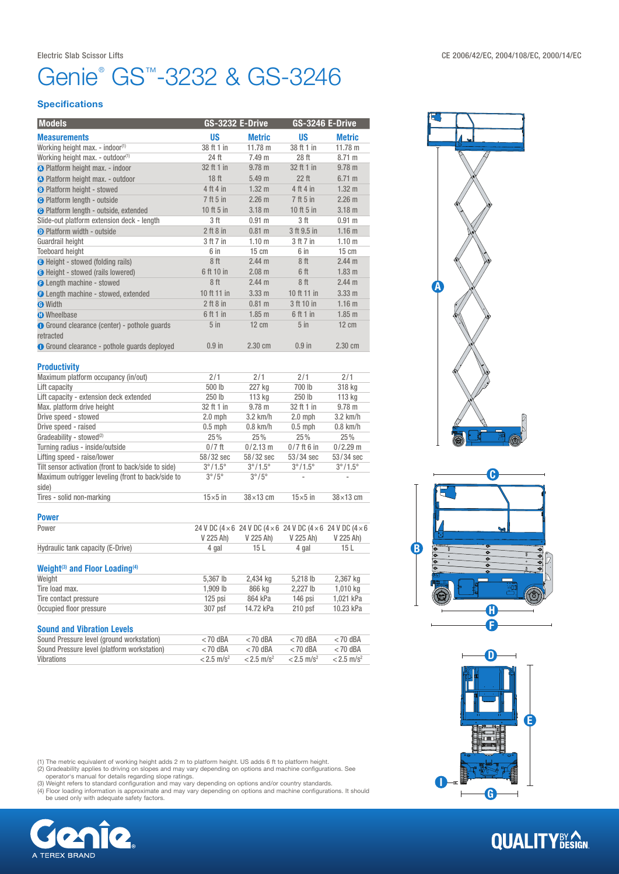## Genie<sup>®</sup> GS<sup>™</sup>-3232 & GS-3246

#### **Specifications**

| <b>Models</b>                                              | <b>GS-3232 E-Drive</b> |                         | <b>GS-3246 E-Drive</b>                                      |                         |  |
|------------------------------------------------------------|------------------------|-------------------------|-------------------------------------------------------------|-------------------------|--|
| <b>Measurements</b>                                        | US                     | <b>Metric</b>           | <b>US</b>                                                   | <b>Metric</b>           |  |
| Working height max. - indoor <sup>(1)</sup>                | 38 ft 1 in             | 11.78 m                 | 38 ft 1 in                                                  | $11.78 \text{ m}$       |  |
| Working height max. - outdoor(1)                           | 24 ft                  | 7.49 <sub>m</sub>       | 28 ft                                                       | 8.71 m                  |  |
| <b>A</b> Platform height max. - indoor                     | 32 ft 1 in             | $9.78$ m                | 32 ft 1 in                                                  | $9.78$ m                |  |
| <b>A</b> Platform height max. - outdoor                    | 18 ft                  | 5.49 m                  | 22 ft                                                       | 6.71 m                  |  |
| <b>B</b> Platform height - stowed                          | 4 ft 4 in              | 1.32 <sub>m</sub>       | 4 ft 4 in                                                   | 1.32 <sub>m</sub>       |  |
| <b>O</b> Platform length - outside                         | 7 ft 5 in              | 2.26 <sub>m</sub>       | 7 ft 5 in                                                   | 2.26 <sub>m</sub>       |  |
| <b>O</b> Platform length - outside, extended               | 10 ft 5 in             | 3.18 <sub>m</sub>       | 10 ft 5 in                                                  | 3.18 <sub>m</sub>       |  |
| Slide-out platform extension deck - length                 | 3 ft                   | 0.91 <sub>m</sub>       | 3 ft                                                        | $0.91$ m                |  |
| <b>O</b> Platform width - outside                          | $2$ ft $8$ in          | $0.81$ m                | 3 ft 9.5 in                                                 | 1.16 <sub>m</sub>       |  |
| Guardrail height                                           | 3 ft 7 in              | $1.10 \text{ m}$        | 3 ft 7 in                                                   | 1.10 <sub>m</sub>       |  |
| <b>Toeboard height</b>                                     | 6 in                   | $15 \text{ cm}$         | 6 in                                                        | $15 \text{ cm}$         |  |
| <b>B</b> Height - stowed (folding rails)                   | 8 ft                   | 2.44 <sub>m</sub>       | 8ft                                                         | 2.44 m                  |  |
| <b>B</b> Height - stowed (rails lowered)                   | 6 ft 10 in             | $2.08$ m                | 6 ft                                                        | 1.83 <sub>m</sub>       |  |
| <b>O</b> Length machine - stowed                           | 8ft                    | 2.44 <sub>m</sub>       | 8ft                                                         | 2.44 <sub>m</sub>       |  |
| <b>O</b> Length machine - stowed, extended                 | 10 ft 11 in            | 3.33 <sub>m</sub>       | 10 ft 11 in                                                 | 3.33 <sub>m</sub>       |  |
| <b>O</b> Width                                             | $2$ ft $8$ in          | $0.81$ m                | 3 ft 10 in                                                  | 1.16 <sub>m</sub>       |  |
| <b>O</b> Wheelbase                                         | 6 ft 1 in              | $1.85$ m                | 6 ft 1 in                                                   | $1.85$ m                |  |
| <b>O</b> Ground clearance (center) - pothole guards        | $5$ in                 | $12 \text{ cm}$         | $5$ in                                                      | $12 \text{ cm}$         |  |
| retracted                                                  |                        |                         |                                                             |                         |  |
| <b>O</b> Ground clearance - pothole guards deployed        | $0.9$ in               | 2.30 cm                 | $0.9$ in                                                    | 2.30 cm                 |  |
|                                                            |                        |                         |                                                             |                         |  |
| <b>Productivity</b>                                        |                        |                         |                                                             |                         |  |
| Maximum platform occupancy (in/out)                        | 2/1                    | 2/1                     | 2/1                                                         | 2/1                     |  |
| Lift capacity                                              | 500 lb                 | 227 kg                  | 700 lb                                                      | 318 kg                  |  |
| Lift capacity - extension deck extended                    | 250 lb                 | 113 kg                  | 250 lb                                                      | 113 kg                  |  |
| Max. platform drive height                                 | 32 ft 1 in             | $9.78$ m                | 32 ft 1 in                                                  | $9.78$ m                |  |
| Drive speed - stowed                                       | $2.0$ mph              | 3.2 km/h                | $2.0$ mph                                                   | 3.2 km/h                |  |
| Drive speed - raised                                       | $0.5$ mph              | $0.8$ km/h<br>$0.5$ mph |                                                             | $0.8$ km/h              |  |
| Gradeability - stowed <sup>(2)</sup>                       | 25%                    | 25%                     | 25%                                                         | 25%                     |  |
| Turning radius - inside/outside                            | $0/7$ ft               | $0/2.13$ m              | $0/7$ ft 6 in                                               | $0/2.29$ m              |  |
| Lifting speed - raise/lower                                | 58/32 sec              | 58/32 sec               | 53/34 sec                                                   | 53/34 sec               |  |
| Tilt sensor activation (front to back/side to side)        | $3^\circ/1.5^\circ$    | $3^\circ/1.5^\circ$     | $3^{\circ}/1.5^{\circ}$                                     | $3^{\circ}/1.5^{\circ}$ |  |
| Maximum outrigger leveling (front to back/side to<br>side) | $3^{\circ}/5^{\circ}$  | $3^{\circ}/5^{\circ}$   |                                                             |                         |  |
| Tires - solid non-marking                                  | $15\times 5$ in        | $38 \times 13$ cm       | $15\times5$ in                                              | $38 \times 13$ cm       |  |
| <b>Power</b>                                               |                        |                         |                                                             |                         |  |
| Power                                                      |                        |                         | 24 V DC (4 × 6 24 V DC (4 × 6 24 V DC (4 × 6 24 V DC (4 × 6 |                         |  |
|                                                            | V 225 Ah)              | V 225 Ah)               | V 225 Ah)                                                   | V 225 Ah)               |  |
| Hydraulic tank capacity (E-Drive)                          | 4 gal                  | 15L                     | 4 gal                                                       | 15L                     |  |
|                                                            |                        |                         |                                                             |                         |  |
| Weight <sup>(3)</sup> and Floor Loading <sup>(4)</sup>     |                        |                         |                                                             |                         |  |
| Weight                                                     | 5,367 lb               | 2,434 kg                | 5,218 lb                                                    | 2,367 kg                |  |
| Tire load max.                                             | 1,909 lb               | 866 kg                  | 2,227 lb                                                    | 1,010 kg                |  |
| Tire contact pressure                                      | 125 psi                | 864 kPa                 | 146 psi                                                     | 1,021 kPa               |  |
| Occupied floor pressure                                    | 307 psf                | 14.72 kPa               | $210$ psf                                                   | 10.23 kPa               |  |
| <b>Sound and Vibration Levels</b>                          |                        |                         |                                                             |                         |  |
| Cound Drogouro Joual (around workatablan)                  | $-70$ dDA              | $-70$ dDA               | $-70$ dDA                                                   | $-70$ dDA               |  |

| Sound Pressure level (ground workstation)   | $<$ 70 dBA               | $<$ 70 dBA               | $<$ 70 dBA               | $<$ 70 dBA               |
|---------------------------------------------|--------------------------|--------------------------|--------------------------|--------------------------|
| Sound Pressure level (platform workstation) | $<$ 70 dBA               | $<$ 70 dBA               | $<$ 70 dBA               | $<$ 70 dBA               |
| Vibrations                                  | $< 2.5$ m/s <sup>2</sup> | $< 2.5$ m/s <sup>2</sup> | $< 2.5$ m/s <sup>2</sup> | $< 2.5$ m/s <sup>2</sup> |

(1) The metric equivalent of working height adds 2 m to platform height. US adds 6 ft to platform height.<br>(2) Gradeability applies to driving on slopes and may vary depending on options and machine configurations. See<br>oper









# **QUALITY**BY CON